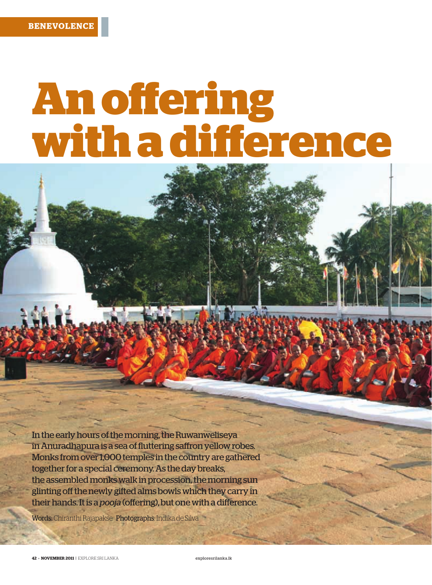## **An offering with a difference**

In the early hours of the morning, the Ruwanweliseya in Anuradhapura is a sea of fluttering saffron yellow robes. Monks from over 1,000 temples in the country are gathered together for a special ceremony. As the day breaks, the assembled monks walk in procession, the morning sun glinting off the newly gifted alms bowls which they carry in their hands. It is a *pooja* (offering), but one with a difference.

Words: Chiranthi Rajapakse Photographs: Indika de Silva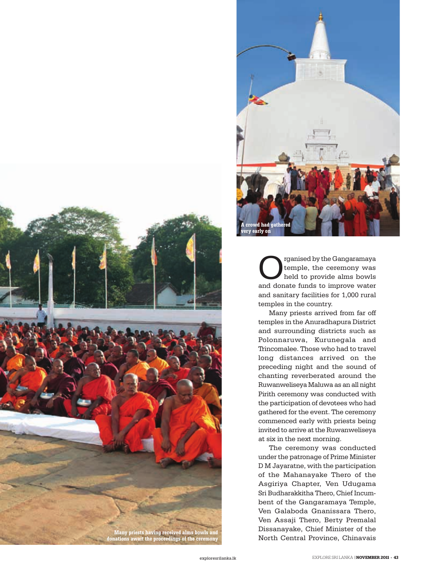



rganised by the Gangaramaya temple, the ceremony was held to provide alms bowls and donate funds to improve water and sanitary facilities for 1,000 rural temples in the country.

Many priests arrived from far off temples in the Anuradhapura District and surrounding districts such as Polonnaruwa, Kurunegala and Trincomalee. Those who had to travel long distances arrived on the preceding night and the sound of chanting reverberated around the Ruwanweliseya Maluwa as an all night Pirith ceremony was conducted with the participation of devotees who had gathered for the event. The ceremony commenced early with priests being invited to arrive at the Ruwanweliseya at six in the next morning.

The ceremony was conducted under the patronage of Prime Minister D M Jayaratne, with the participation of the Mahanayake Thero of the Asgiriya Chapter, Ven Udugama Sri Budharakkitha Thero, Chief Incumbent of the Gangaramaya Temple, Ven Galaboda Gnanissara Thero, Ven Assaji Thero, Berty Premalal Dissanayake, Chief Minister of the North Central Province, Chinavais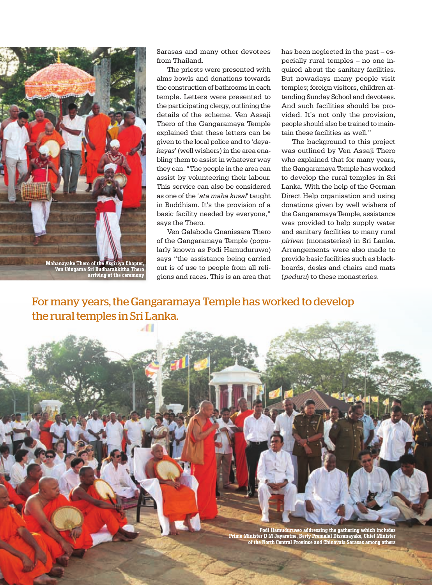

**Ven Udugama Sri Budharakkitha Thero arriving at the ceremony**

**44 • NOVEMBER 2011** | EXPLORE SRI LANKA exploresrilanka.lk

Sarasas and many other devotees from Thailand.

The priests were presented with alms bowls and donations towards the construction of bathrooms in each temple. Letters were presented to the participating clergy, outlining the details of the scheme. Ven Assaji Thero of the Gangaramaya Temple explained that these letters can be given to the local police and to '*dayakayas*' (well wishers) in the area enabling them to assist in whatever way they can. "The people in the area can assist by volunteering their labour. This service can also be considered as one of the 'ata maha kusal' taught in Buddhism. It's the provision of a basic facility needed by everyone," says the Thero.

Ven Galaboda Gnanissara Thero of the Gangaramaya Temple (popularly known as Podi Hamuduruwo) says "the assistance being carried out is of use to people from all religions and races. This is an area that has been neglected in the past – especially rural temples – no one inquired about the sanitary facilities. But nowadays many people visit temples; foreign visitors, children attending Sunday School and devotees. And such facilities should be provided. It's not only the provision, people should also be trained to maintain these facilities as well."

The background to this project was outlined by Ven Assaji Thero who explained that for many years, the Gangaramaya Temple has worked to develop the rural temples in Sri Lanka. With the help of the German Direct Help organisation and using donations given by well wishers of the Gangaramaya Temple, assistance was provided to help supply water and sanitary facilities to many rural *piriven* (monasteries) in Sri Lanka. Arrangements were also made to provide basic facilities such as blackboards, desks and chairs and mats (peduru) to these monasteries.

For many years, the Gangaramaya Temple has worked to develop the rural temples in Sri Lanka.

Æ

**Podi Hamuduruwo addressing the gathering which includes Prime Minister D M Jayaratne, Berty Premalal Dissanayake, Chief Minister of the North Central Province and Chinavais Sarasas among others**